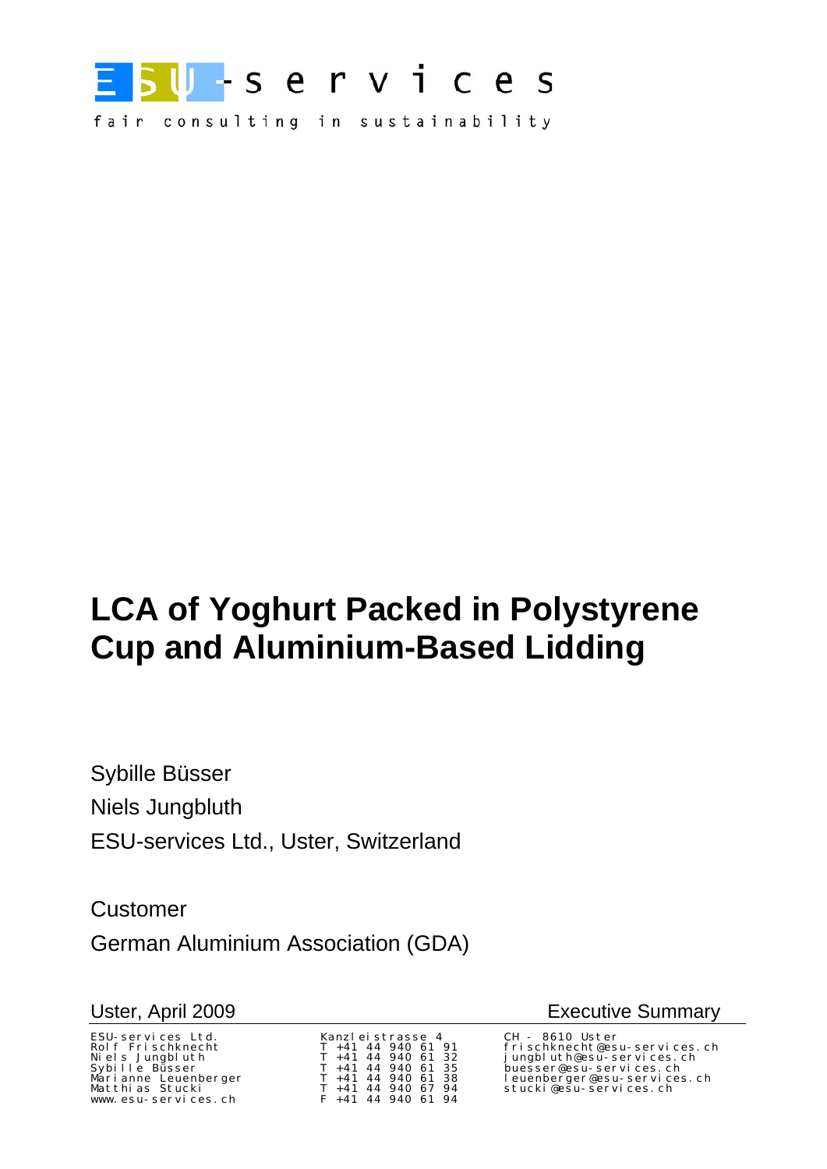

fair consulting in sustainability

# **LCA of Yoghurt Packed in Polystyrene Cup and Aluminium-Based Lidding**

Sybille Büsser Niels Jungbluth ESU-services Ltd., Uster, Switzerland

Customer German Aluminium Association (GDA)

ESU-services Ltd. Kanzleistrasse 4 CH - 8610 Uster www.esu-services.ch  $F +41 +44 +940 +61 +94$ 

Uster, April 2009 **Executive Summary** 

frischknecht@esu-services.ch Niels Jungbluth T +41 44 940 61 32 jungbluth@esu-services.ch Sybille Büsser T +41 44 940 61 35 buesser@esu-services.ch Marianne Leuenberger T +41 44 940 61 38 leuenberger@esu-services.ch Matthias Stucki T +41 44 940 67 94 stucki@esu-services.ch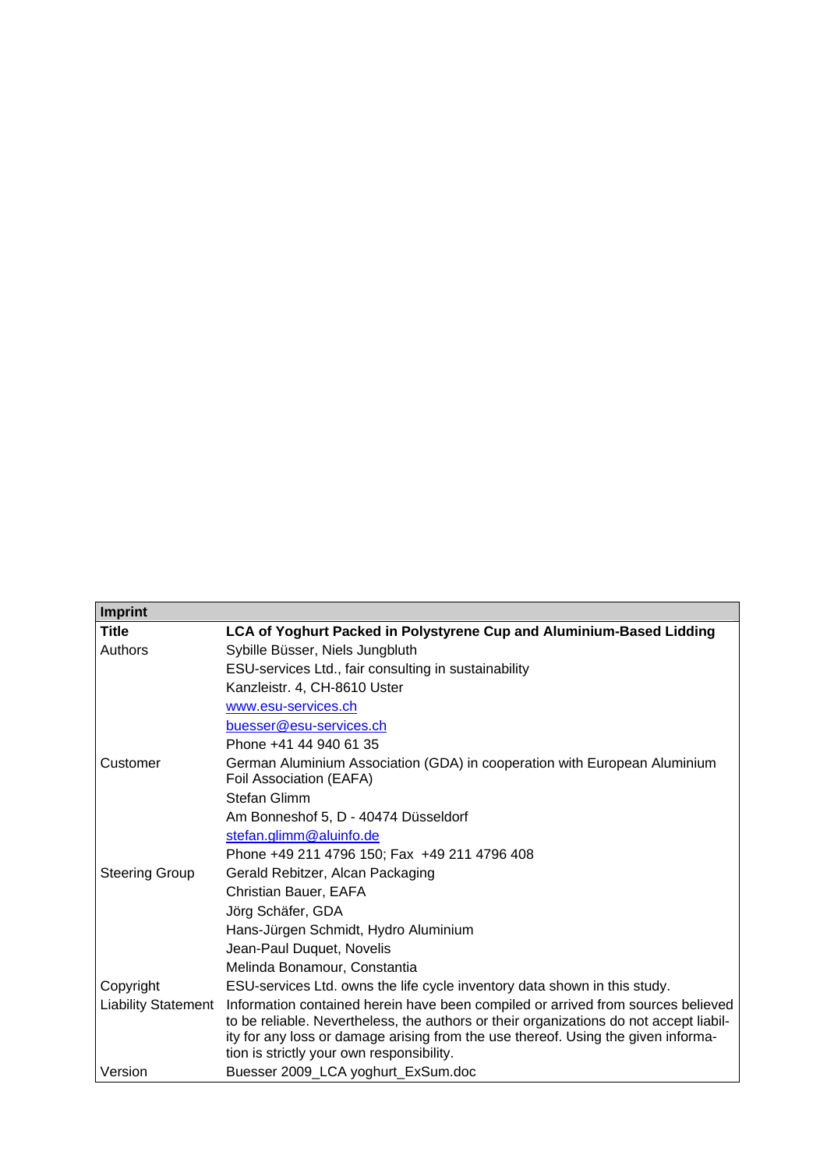| <b>Imprint</b>             |                                                                                                                                                                            |
|----------------------------|----------------------------------------------------------------------------------------------------------------------------------------------------------------------------|
| <b>Title</b>               | LCA of Yoghurt Packed in Polystyrene Cup and Aluminium-Based Lidding                                                                                                       |
| Authors                    | Sybille Büsser, Niels Jungbluth                                                                                                                                            |
|                            | ESU-services Ltd., fair consulting in sustainability                                                                                                                       |
|                            | Kanzleistr. 4, CH-8610 Uster                                                                                                                                               |
|                            | www.esu-services.ch                                                                                                                                                        |
|                            | buesser@esu-services.ch                                                                                                                                                    |
|                            | Phone +41 44 940 61 35                                                                                                                                                     |
| Customer                   | German Aluminium Association (GDA) in cooperation with European Aluminium<br>Foil Association (EAFA)                                                                       |
|                            | <b>Stefan Glimm</b>                                                                                                                                                        |
|                            | Am Bonneshof 5, D - 40474 Düsseldorf                                                                                                                                       |
|                            | stefan.glimm@aluinfo.de                                                                                                                                                    |
|                            | Phone +49 211 4796 150; Fax +49 211 4796 408                                                                                                                               |
| <b>Steering Group</b>      | Gerald Rebitzer, Alcan Packaging                                                                                                                                           |
|                            | Christian Bauer, EAFA                                                                                                                                                      |
|                            | Jörg Schäfer, GDA                                                                                                                                                          |
|                            | Hans-Jürgen Schmidt, Hydro Aluminium                                                                                                                                       |
|                            | Jean-Paul Duquet, Novelis                                                                                                                                                  |
|                            | Melinda Bonamour, Constantia                                                                                                                                               |
| Copyright                  | ESU-services Ltd. owns the life cycle inventory data shown in this study.                                                                                                  |
| <b>Liability Statement</b> | Information contained herein have been compiled or arrived from sources believed<br>to be reliable. Nevertheless, the authors or their organizations do not accept liabil- |
|                            | ity for any loss or damage arising from the use thereof. Using the given informa-<br>tion is strictly your own responsibility.                                             |
| Version                    | Buesser 2009_LCA yoghurt_ExSum.doc                                                                                                                                         |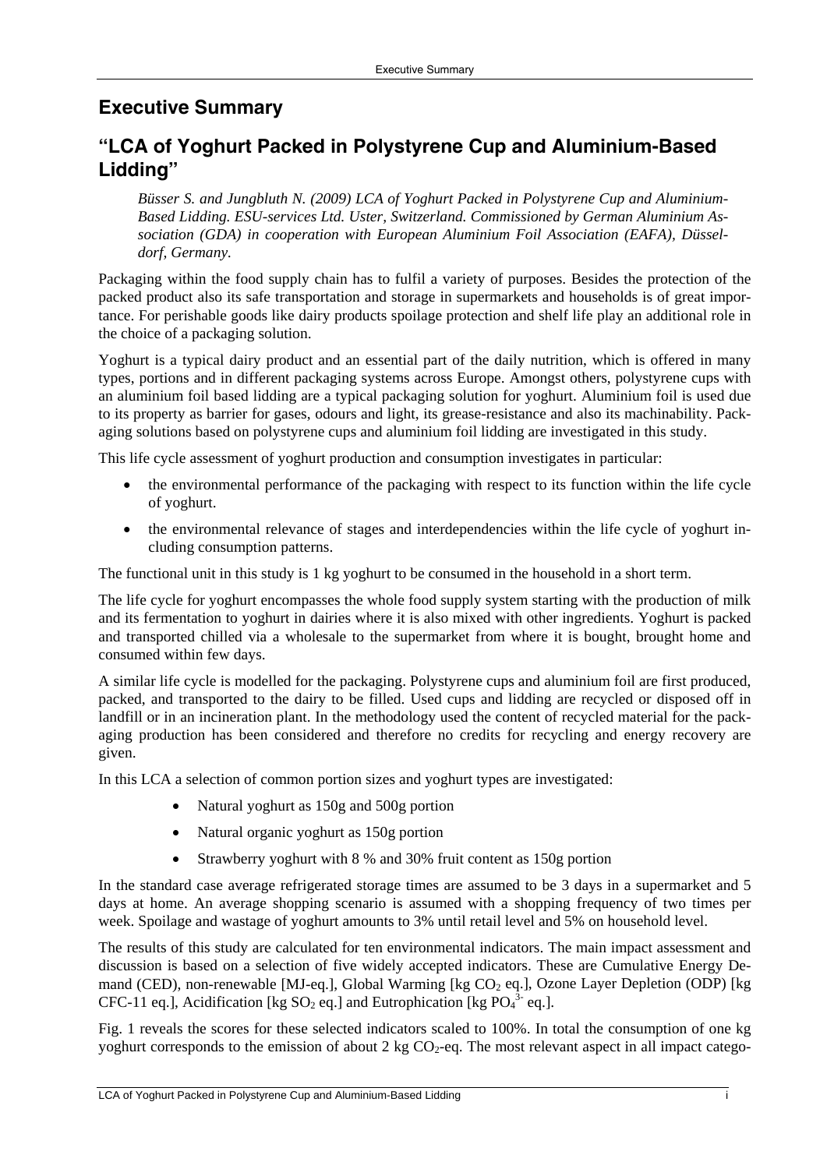## **Executive Summary**

## **"LCA of Yoghurt Packed in Polystyrene Cup and Aluminium-Based Lidding"**

*Büsser S. and Jungbluth N. (2009) LCA of Yoghurt Packed in Polystyrene Cup and Aluminium-Based Lidding. ESU-services Ltd. Uster, Switzerland. Commissioned by German Aluminium Association (GDA) in cooperation with European Aluminium Foil Association (EAFA), Düsseldorf, Germany.* 

Packaging within the food supply chain has to fulfil a variety of purposes. Besides the protection of the packed product also its safe transportation and storage in supermarkets and households is of great importance. For perishable goods like dairy products spoilage protection and shelf life play an additional role in the choice of a packaging solution.

Yoghurt is a typical dairy product and an essential part of the daily nutrition, which is offered in many types, portions and in different packaging systems across Europe. Amongst others, polystyrene cups with an aluminium foil based lidding are a typical packaging solution for yoghurt. Aluminium foil is used due to its property as barrier for gases, odours and light, its grease-resistance and also its machinability. Packaging solutions based on polystyrene cups and aluminium foil lidding are investigated in this study.

This life cycle assessment of yoghurt production and consumption investigates in particular:

- the environmental performance of the packaging with respect to its function within the life cycle of yoghurt.
- the environmental relevance of stages and interdependencies within the life cycle of yoghurt including consumption patterns.

The functional unit in this study is 1 kg yoghurt to be consumed in the household in a short term.

The life cycle for yoghurt encompasses the whole food supply system starting with the production of milk and its fermentation to yoghurt in dairies where it is also mixed with other ingredients. Yoghurt is packed and transported chilled via a wholesale to the supermarket from where it is bought, brought home and consumed within few days.

A similar life cycle is modelled for the packaging. Polystyrene cups and aluminium foil are first produced, packed, and transported to the dairy to be filled. Used cups and lidding are recycled or disposed off in landfill or in an incineration plant. In the methodology used the content of recycled material for the packaging production has been considered and therefore no credits for recycling and energy recovery are given.

In this LCA a selection of common portion sizes and yoghurt types are investigated:

- Natural yoghurt as 150g and 500g portion
- Natural organic yoghurt as 150g portion
- Strawberry yoghurt with 8 % and 30% fruit content as 150g portion

In the standard case average refrigerated storage times are assumed to be 3 days in a supermarket and 5 days at home. An average shopping scenario is assumed with a shopping frequency of two times per week. Spoilage and wastage of yoghurt amounts to 3% until retail level and 5% on household level.

The results of this study are calculated for ten environmental indicators. The main impact assessment and discussion is based on a selection of five widely accepted indicators. These are Cumulative Energy Demand (CED), non-renewable [MJ-eq.], Global Warming [kg CO<sub>2</sub> eq.], Ozone Layer Depletion (ODP) [kg CFC-11 eq.], Acidification [kg  $SO_2$  eq.] and Eutrophication [kg  $PO_4^{3}$  eq.].

Fig. 1 reveals the scores for these selected indicators scaled to 100%. In total the consumption of one kg yoghurt corresponds to the emission of about 2 kg  $CO<sub>2</sub>$ -eq. The most relevant aspect in all impact catego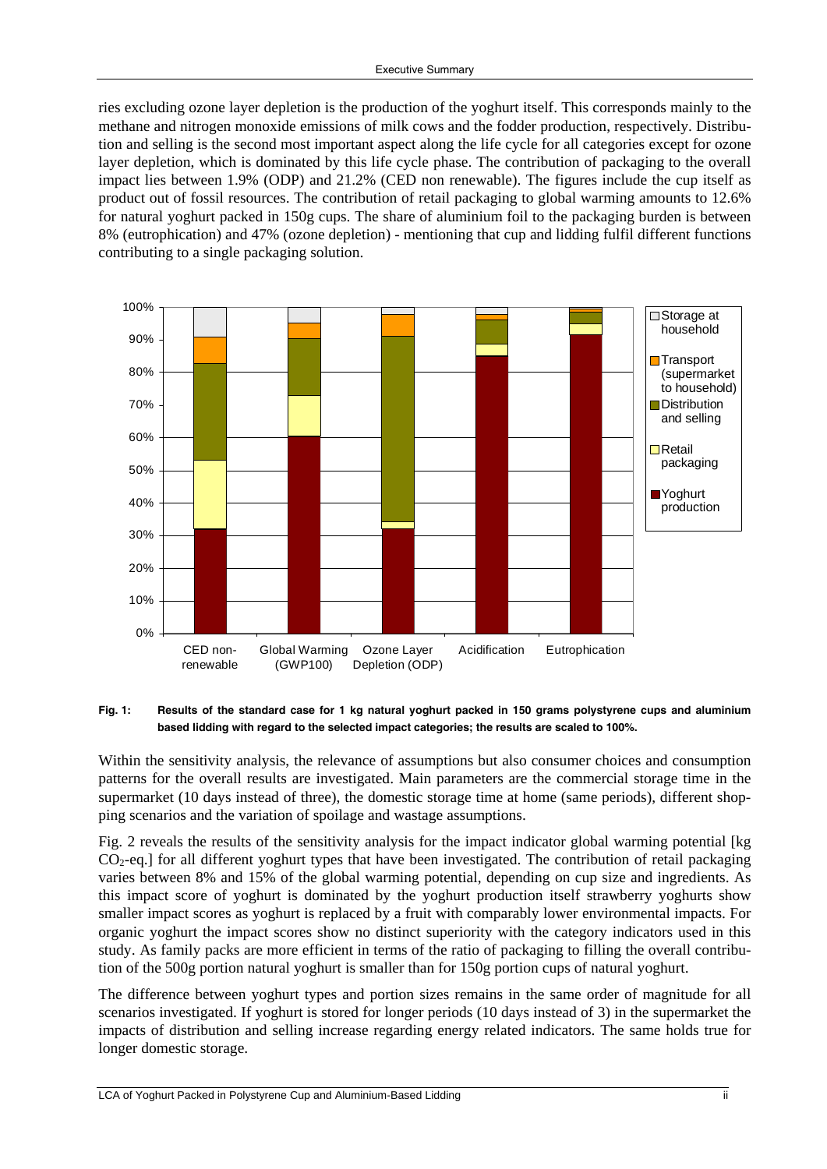ries excluding ozone layer depletion is the production of the yoghurt itself. This corresponds mainly to the methane and nitrogen monoxide emissions of milk cows and the fodder production, respectively. Distribution and selling is the second most important aspect along the life cycle for all categories except for ozone layer depletion, which is dominated by this life cycle phase. The contribution of packaging to the overall impact lies between 1.9% (ODP) and 21.2% (CED non renewable). The figures include the cup itself as product out of fossil resources. The contribution of retail packaging to global warming amounts to 12.6% for natural yoghurt packed in 150g cups. The share of aluminium foil to the packaging burden is between 8% (eutrophication) and 47% (ozone depletion) - mentioning that cup and lidding fulfil different functions contributing to a single packaging solution.



#### **Fig. 1: Results of the standard case for 1 kg natural yoghurt packed in 150 grams polystyrene cups and aluminium based lidding with regard to the selected impact categories; the results are scaled to 100%.**

Within the sensitivity analysis, the relevance of assumptions but also consumer choices and consumption patterns for the overall results are investigated. Main parameters are the commercial storage time in the supermarket (10 days instead of three), the domestic storage time at home (same periods), different shopping scenarios and the variation of spoilage and wastage assumptions.

Fig. 2 reveals the results of the sensitivity analysis for the impact indicator global warming potential [kg  $CO<sub>2</sub>$ -eq.] for all different yoghurt types that have been investigated. The contribution of retail packaging varies between 8% and 15% of the global warming potential, depending on cup size and ingredients. As this impact score of yoghurt is dominated by the yoghurt production itself strawberry yoghurts show smaller impact scores as yoghurt is replaced by a fruit with comparably lower environmental impacts. For organic yoghurt the impact scores show no distinct superiority with the category indicators used in this study. As family packs are more efficient in terms of the ratio of packaging to filling the overall contribution of the 500g portion natural yoghurt is smaller than for 150g portion cups of natural yoghurt.

The difference between yoghurt types and portion sizes remains in the same order of magnitude for all scenarios investigated. If yoghurt is stored for longer periods (10 days instead of 3) in the supermarket the impacts of distribution and selling increase regarding energy related indicators. The same holds true for longer domestic storage.